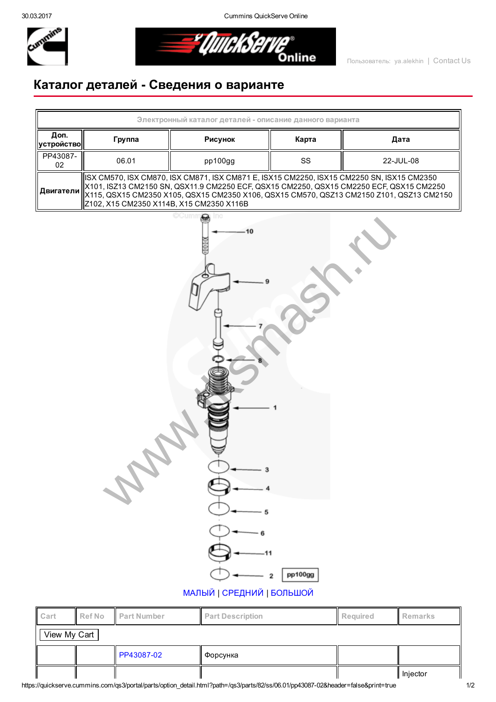30.03.2017 Cummins QuickServe Online



*= UlitekSel* Online

## Каталог деталей Сведения о варианте



| ll Gart      |  | <b>INCLINO I</b> Part Number | <b>Part Description</b> | ll Reguirea | <u>il Remarks</u> |  |  |  |  |
|--------------|--|------------------------------|-------------------------|-------------|-------------------|--|--|--|--|
| View My Cart |  |                              |                         |             |                   |  |  |  |  |
|              |  | <b>PP43087-02</b>            | Форсунка                |             |                   |  |  |  |  |
|              |  |                              |                         |             | Injector          |  |  |  |  |